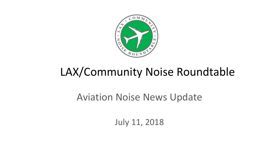

# LAX/Community Noise Roundtable

#### Aviation Noise News Update

July 11, 2018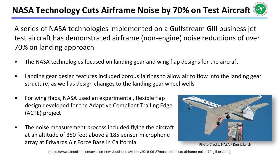#### **NASA Technology Cuts Airframe Noise by 70% on Test Aircraft**



A series of NASA technologies implemented on a Gulfstream GIII business jet test aircraft has demonstrated airframe (non-engine) noise reductions of over 70% on landing approach

- The NASA technologies focused on landing gear and wing flap designs for the aircraft
- Landing gear design features included porous fairings to allow air to flow into the landing gear structure, as well as design changes to the landing gear wheel wells
- For wing flaps, NASA used an experimental, flexible flap design developed for the Adaptive Compliant Trailing Edge (ACTE) project
- The noise measurement process included flying the aircraft at an altitude of 350 feet above a 185-sensor microphone array at Edwards Air Force Base in California



Photo Credit: NASA / Ken Ulbrich

(https://www.ainonline.com/aviation-news/business-aviation/2018-06-27/nasa-tech-cuts-airframe-noise-70-giii-testbed)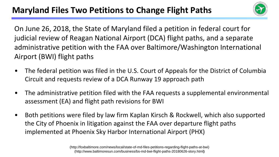

On June 26, 2018, the State of Maryland filed a petition in federal court for judicial review of Reagan National Airport (DCA) flight paths, and a separate administrative petition with the FAA over Baltimore/Washington International Airport (BWI) flight paths

- The federal petition was filed in the U.S. Court of Appeals for the District of Columbia Circuit and requests review of a DCA Runway 19 approach path
- The administrative petition filed with the FAA requests a supplemental environmental assessment (EA) and flight path revisions for BWI
- Both petitions were filed by law firm Kaplan Kirsch & Rockwell, which also supported the City of Phoenix in litigation against the FAA over departure flight paths implemented at Phoenix Sky Harbor International Airport (PHX)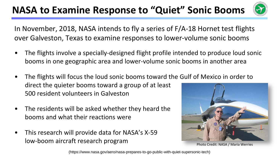### **NASA to Examine Response to "Quiet" Sonic Booms**



In November, 2018, NASA intends to fly a series of F/A-18 Hornet test flights over Galveston, Texas to examine responses to lower-volume sonic booms

- The flights involve a specially-designed flight profile intended to produce loud sonic booms in one geographic area and lower-volume sonic booms in another area
- The flights will focus the loud sonic booms toward the Gulf of Mexico in order to direct the quieter booms toward a group of at least 500 resident volunteers in Galveston
- The residents will be asked whether they heard the booms and what their reactions were
- This research will provide data for NASA's X-59 low-boom aircraft research program



Photo Credit: NASA / Maria Werries

(https://www.nasa.gov/aero/nasa-prepares-to-go-public-with-quiet-supersonic-tech)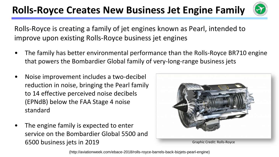### **Rolls-Royce Creates New Business Jet Engine Family**



Rolls-Royce is creating a family of jet engines known as Pearl, intended to improve upon existing Rolls-Royce business jet engines

- The family has better environmental performance than the Rolls-Royce BR710 engine that powers the Bombardier Global family of very-long-range business jets
- Noise improvement includes a two-decibel reduction in noise, bringing the Pearl family to 14 effective perceived noise decibels (EPNdB) below the FAA Stage 4 noise standard
- The engine family is expected to enter service on the Bombardier Global 5500 and 6500 business jets in 2019



(http://aviationweek.com/ebace-2018/rolls-royce-barrels-back-bizjets-pearl-engine)